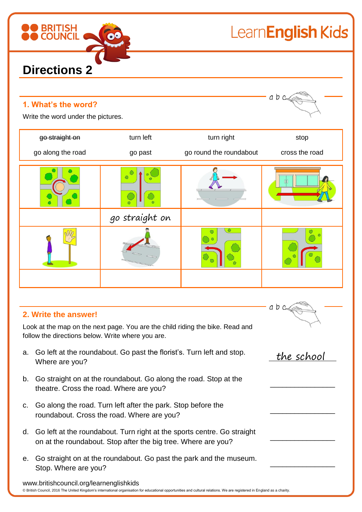

## LearnEnglish Kids

| 1. What's the word?<br>Write the word under the pictures. |                |                         | abc            |
|-----------------------------------------------------------|----------------|-------------------------|----------------|
| go straight on                                            | turn left      | turn right              | stop           |
| go along the road                                         | go past        | go round the roundabout | cross the road |
|                                                           |                |                         |                |
|                                                           | go straight on |                         |                |
|                                                           |                | $\bullet$               |                |
|                                                           |                |                         |                |

### **2. Write the answer!**

www.britishcouncil.org/learnenglishkids

Look at the map on the next page. You are the child riding the bike. Read and follow the directions below. Write where you are.

- a. Go left at the roundabout. Go past the florist's. Turn left and stop. Where are you? the school
- b. Go straight on at the roundabout. Go along the road. Stop at the theatre. Cross the road. Where are you?
- c. Go along the road. Turn left after the park. Stop before the roundabout. Cross the road. Where are you?
- d. Go left at the roundabout. Turn right at the sports centre. Go straight on at the roundabout. Stop after the big tree. Where are you?
- e. Go straight on at the roundabout. Go past the park and the museum. Stop. Where are you?

© British Council, 2016 The United Kingdom's international organisation for educational opportunities and cultural relations. We are registered in England as a charity.

 $a b c$